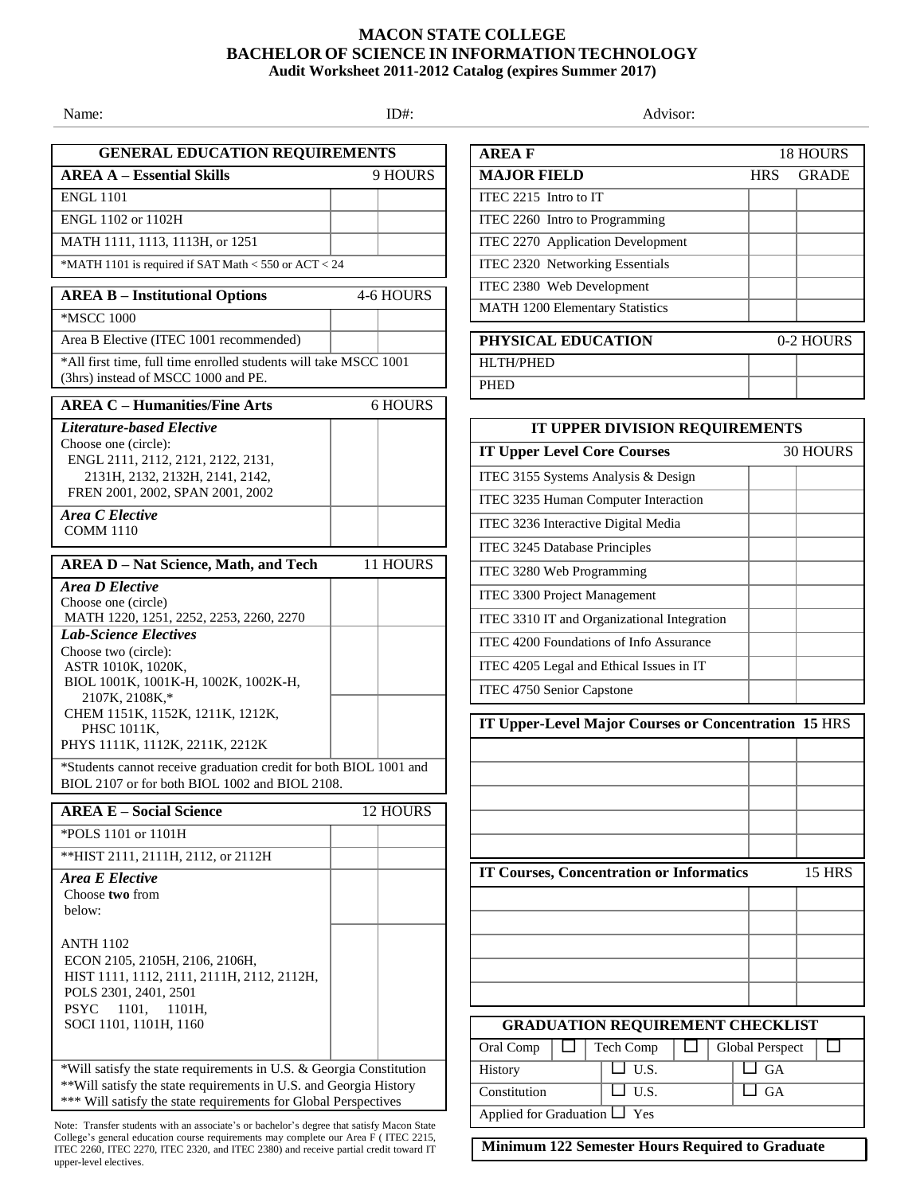## **MACON STATE COLLEGE BACHELOR OF SCIENCE IN INFORMATION TECHNOLOGY Audit Worksheet 2011-2012 Catalog (expires Summer 2017)**

Name: Advisor: ID#: ID#: ID#: Advisor: Advisor: Advisor: Advisor: Advisor: Advisor: Advisor: Advisor: Advisor: **GENERAL EDUCATION REQUIREMENTS AREA A – Essential Skills** 9 HOURS ENGL 1101 ENGL 1102 or 1102H MATH 1111, 1113, 1113H, or 1251 \*MATH 1101 is required if SAT Math < 550 or ACT < 24 **AREA D – Nat Science, Math, and Tech** 11 HOURS *Area D Elective* Choose one (circle) MATH 1220, 1251, 2252, 2253, 2260, 2270 *Lab-Science Electives* Choose two (circle): ASTR 1010K, 1020K, BIOL 1001K, 1001K-H, 1002K, 1002K-H, 2107K, 2108K,\* CHEM 1151K, 1152K, 1211K, 1212K, PHSC 1011K, PHYS 1111K, 1112K, 2211K, 2212K \*Students cannot receive graduation credit for both BIOL 1001 and BIOL 2107 or for both BIOL 1002 and BIOL 2108. **AREA E – Social Science** 12 HOURS \*POLS 1101 or 1101H \*\*HIST 2111, 2111H, 2112, or 2112H *Area E Elective* Choose **two** from below: ANTH 1102 ECON 2105, 2105H, 2106, 2106H, HIST 1111, 1112, 2111, 2111H, 2112, 2112H, POLS 2301, 2401, 2501 PSYC 1101, 1101H, SOCI 1101, 1101H, 1160 \*Will satisfy the state requirements in U.S. & Georgia Constitution \*\*Will satisfy the state requirements in U.S. and Georgia History \*\*\* Will satisfy the state requirements for Global Perspectives **AREA B – Institutional Options** 4-6 HOURS \*MSCC 1000 Area B Elective (ITEC 1001 recommended) \*All first time, full time enrolled students will take MSCC 1001 (3hrs) instead of MSCC 1000 and PE. **AREA C – Humanities/Fine Arts** 6 HOURS *Literature-based Elective* Choose one (circle): ENGL 2111, 2112, 2121, 2122, 2131, 2131H, 2132, 2132H, 2141, 2142, FREN 2001, 2002, SPAN 2001, 2002 *Area C Elective* COMM 1110

Note: Transfer students with an associate's or bachelor's degree that satisfy Macon State College's general education course requirements may complete our Area F ( ITEC 2215, ITEC 2260, ITEC 2270, ITEC 2320, and ITEC 2380) and receive partial credit toward IT upper-level electives.

| <b>AREAF</b>                           | <b>18 HOURS</b> |              |
|----------------------------------------|-----------------|--------------|
| <b>MAJOR FIELD</b>                     | <b>HRS</b>      | <b>GRADE</b> |
| ITEC 2215 Intro to IT                  |                 |              |
| ITEC 2260 Intro to Programming         |                 |              |
| ITEC 2270 Application Development      |                 |              |
| ITEC 2320 Networking Essentials        |                 |              |
| ITEC 2380 Web Development              |                 |              |
| <b>MATH 1200 Elementary Statistics</b> |                 |              |
|                                        |                 |              |
| PHYSICAL EDUCATION                     | 0-2 HOURS       |              |
| <b>HLTH/PHED</b>                       |                 |              |
| <b>PHED</b>                            |                 |              |
|                                        |                 |              |

| IT UPPER DIVISION REQUIREMENTS                       |                                         |                        |               |  |
|------------------------------------------------------|-----------------------------------------|------------------------|---------------|--|
| <b>IT Upper Level Core Courses</b>                   |                                         |                        | 30 HOURS      |  |
| ITEC 3155 Systems Analysis & Design                  |                                         |                        |               |  |
| ITEC 3235 Human Computer Interaction                 |                                         |                        |               |  |
| ITEC 3236 Interactive Digital Media                  |                                         |                        |               |  |
| ITEC 3245 Database Principles                        |                                         |                        |               |  |
| ITEC 3280 Web Programming                            |                                         |                        |               |  |
| ITEC 3300 Project Management                         |                                         |                        |               |  |
| ITEC 3310 IT and Organizational Integration          |                                         |                        |               |  |
| ITEC 4200 Foundations of Info Assurance              |                                         |                        |               |  |
| ITEC 4205 Legal and Ethical Issues in IT             |                                         |                        |               |  |
| ITEC 4750 Senior Capstone                            |                                         |                        |               |  |
|                                                      |                                         |                        |               |  |
| IT Upper-Level Major Courses or Concentration 15 HRS |                                         |                        |               |  |
|                                                      |                                         |                        |               |  |
|                                                      |                                         |                        |               |  |
|                                                      |                                         |                        |               |  |
|                                                      |                                         |                        |               |  |
|                                                      |                                         |                        |               |  |
| <b>IT Courses, Concentration or Informatics</b>      |                                         |                        | <b>15 HRS</b> |  |
|                                                      |                                         |                        |               |  |
|                                                      |                                         |                        |               |  |
|                                                      |                                         |                        |               |  |
|                                                      |                                         |                        |               |  |
|                                                      |                                         |                        |               |  |
|                                                      |                                         |                        |               |  |
|                                                      | <b>GRADUATION REQUIREMENT CHECKLIST</b> |                        |               |  |
| Oral Comp                                            | Tech Comp                               | <b>Global Perspect</b> | ΙI            |  |
| History                                              | U.S.                                    | GA                     |               |  |
| Constitution                                         | $\overline{U.S.}$                       | <b>GA</b>              |               |  |
| Applied for Graduation L                             | Yes                                     |                        |               |  |

**Minimum 122 Semester Hours Required to Graduate**